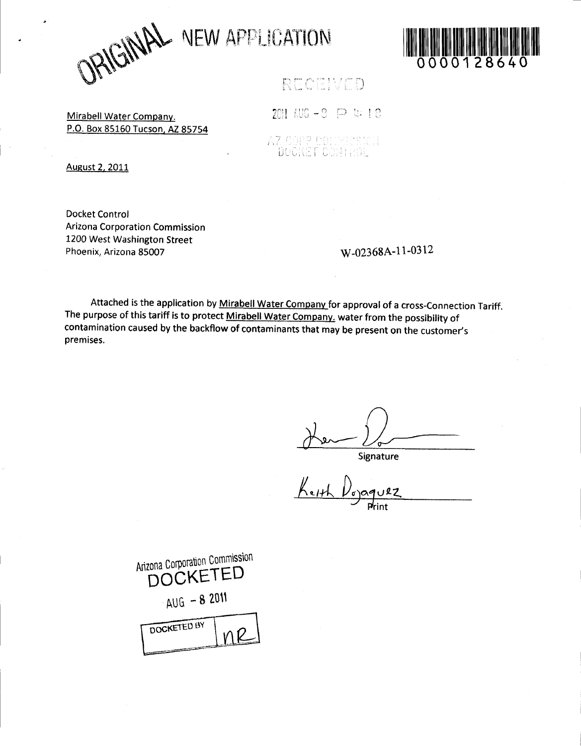JRIGINAL VEW APPLICATION



RECEIVED

Mirabell Water Company. P.O. Box 85160 Tucson, AZ 85754

2011 AUG - 3 戸 4 18 AZ CGPP CONNECTOR DOCKET CONTROL

August 2, 2011

**Docket Control Arizona Corporation Commission** 1200 West Washington Street Phoenix, Arizona 85007

W-02368A-11-0312

Attached is the application by Mirabell Water Company for approval of a cross-Connection Tariff. The purpose of this tariff is to protect Mirabell Water Company, water from the possibility of contamination caused by the backflow of contaminants that may be present on the customer's premises.

Signature

 $\frac{1}{\frac{1}{\frac{1}{\frac{1}{\sqrt{1+\frac{1}{\sqrt{1+\frac{1}{\sqrt{1+\frac{1}{\sqrt{1+\frac{1}{\sqrt{1+\frac{1}{\sqrt{1+\frac{1}{1+\frac{1}{\sqrt{1+\frac{1}{1+\frac{1}{1+\frac{1}{1+\frac{1}{1+\frac{1}{1+\frac{1}{1+\frac{1}{1+\frac{1}{1+\frac{1}{1+\frac{1}{1+\frac{1}{1+\frac{1}{1+\frac{1}{1+\frac{1}{1+\frac{1}{1+\frac{1}{1+\frac{1}{1+\frac{1}{1+\frac{1}{1+\frac{1}{1+\frac{1}{1+\frac{1}{1+\frac{1$ 22ں

| Arizona Corporation Commission<br><b>DOCKETED</b> |
|---------------------------------------------------|
| $-40G - 82011$                                    |
| DOCKETED BY                                       |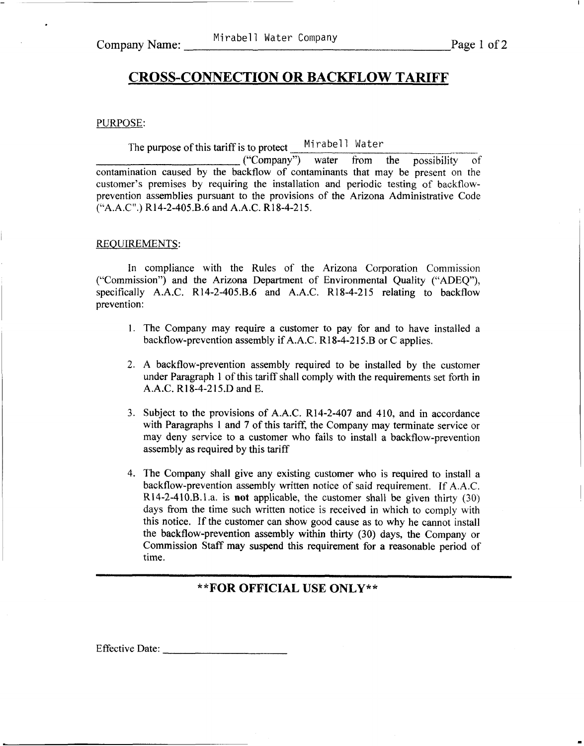# **CROSS-CONNECTION OR BACKFLOW TARIFF**

### PURPOSE:

The purpose of this tariff is to protect Mirabell Water

("Company") water from the possibility of contamination caused by the backflow of contaminants that may be present on the customer's premises by requiring the installation and periodic testing of backflowprevention assemblies pursuant to the provisions of the Arizona Administrative Code ("A.A.C".) R14-2-405.B.6 and A.A.C. R18-4-215.

## REQUIREMENTS:

In compliance with the Rules of the Arizona Corporation Commission ("Commission") and the Arizona Department of Environmental Quality **("ADEQ"),**  specifically A.A.C. R14-2-405.B.6 and A.A.C. R18-4-215 relating to backflow prevention:

- 1. The Company may require a customer to pay for and to have installed a backflow-prevention assembly if A.A.C. R18-4-215.B or C applies.
- **2.** A backflow-prevention assembly required to be installed by the customer under Paragraph 1 of this tariff shall comply with the requirements set forth in A.A.C. R18-4-2 15.D and E.
- 3. Subject to the provisions of A.A.C. R14-2-407 and 410, and in accordance with Paragraphs 1 and 7 of this tariff, the Company may terminate service or may deny service to a customer who fails to install a backflow-prevention assembly as required by this tariff
- 4. The Company shall give any existing customer who **is** required to install a backflow-prevention assembly written notice of said requirement. If **A.A.C.**  R14-2-410.B.1.a. is not applicable, the customer shall be given thirty  $(30)$ days from the time such written notice is received in which to comply with this notice. If the customer can show good cause as to why he cannot install the backflow-prevention assembly within thirty **(30)** days, the Company or Commission Staff may suspend **this** requirement for a reasonable period of time.

**\*\*FOR OFFICIAL USE ONLY\*\*** 

Effective Date:  $\frac{1}{\sqrt{1-\frac{1}{2}} \cdot \frac{1}{\sqrt{1-\frac{1}{2}} \cdot \frac{1}{\sqrt{1-\frac{1}{2}} \cdot \frac{1}{\sqrt{1-\frac{1}{2}} \cdot \frac{1}{\sqrt{1-\frac{1}{2}} \cdot \frac{1}{\sqrt{1-\frac{1}{2}} \cdot \frac{1}{\sqrt{1-\frac{1}{2}} \cdot \frac{1}{\sqrt{1-\frac{1}{2}} \cdot \frac{1}{\sqrt{1-\frac{1}{2}} \cdot \frac{1}{\sqrt{1-\frac{1}{2}} \cdot \frac{1}{\sqrt{1-\frac{1}{2}} \cdot \frac{1}{\$